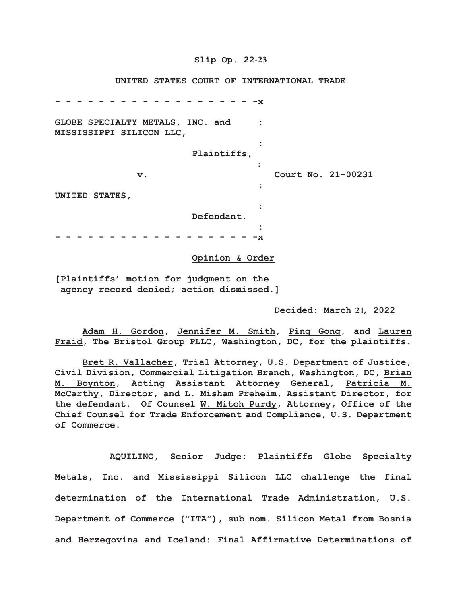## **Slip Op. 22-23**

#### **UNITED STATES COURT OF INTERNATIONAL TRADE**

**- - - - - - - - - - - - - - - - - - -x GLOBE SPECIALTY METALS, INC. and : MISSISSIPPI SILICON LLC, : Plaintiffs, : v. Court No. 21-00231 : UNITED STATES, : Defendant. : - - - - - - - - - - - - - - - - - - -x**

#### **Opinion & Order**

**[Plaintiffs' motion for judgment on the agency record denied; action dismissed.]**

Decided: March 21, 2022

**Adam H. Gordon, Jennifer M. Smith, Ping Gong, and Lauren Fraid, The Bristol Group PLLC, Washington, DC, for the plaintiffs.**

**Bret R. Vallacher, Trial Attorney, U.S. Department of Justice, Civil Division, Commercial Litigation Branch, Washington, DC, Brian M. Boynton, Acting Assistant Attorney General, Patricia M. McCarthy, Director, and L. Misham Preheim, Assistant Director, for the defendant. Of Counsel W. Mitch Purdy, Attorney, Office of the Chief Counsel for Trade Enforcement and Compliance, U.S. Department of Commerce.**

**AQUILINO, Senior Judge: Plaintiffs Globe Specialty Metals, Inc. and Mississippi Silicon LLC challenge the final determination of the International Trade Administration, U.S. Department of Commerce ("ITA"), sub nom. Silicon Metal from Bosnia and Herzegovina and Iceland: Final Affirmative Determinations of**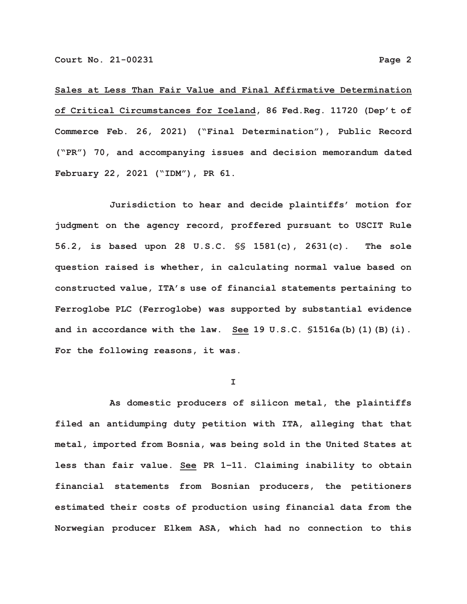**Sales at Less Than Fair Value and Final Affirmative Determination of Critical Circumstances for Iceland, 86 Fed.Reg. 11720 (Dep't of Commerce Feb. 26, 2021) ("Final Determination"), Public Record ("PR") 70, and accompanying issues and decision memorandum dated February 22, 2021 ("IDM"), PR 61.**

**Jurisdiction to hear and decide plaintiffs' motion for judgment on the agency record, proffered pursuant to USCIT Rule 56.2, is based upon 28 U.S.C. §§ 1581(c), 2631(c). The sole question raised is whether, in calculating normal value based on constructed value, ITA's use of financial statements pertaining to Ferroglobe PLC (Ferroglobe) was supported by substantial evidence and in accordance with the law. See 19 U.S.C. §1516a(b)(1)(B)(i). For the following reasons, it was.**

**I**

**As domestic producers of silicon metal, the plaintiffs filed an antidumping duty petition with ITA, alleging that that metal, imported from Bosnia, was being sold in the United States at less than fair value. See PR 1–11. Claiming inability to obtain financial statements from Bosnian producers, the petitioners estimated their costs of production using financial data from the Norwegian producer Elkem ASA, which had no connection to this**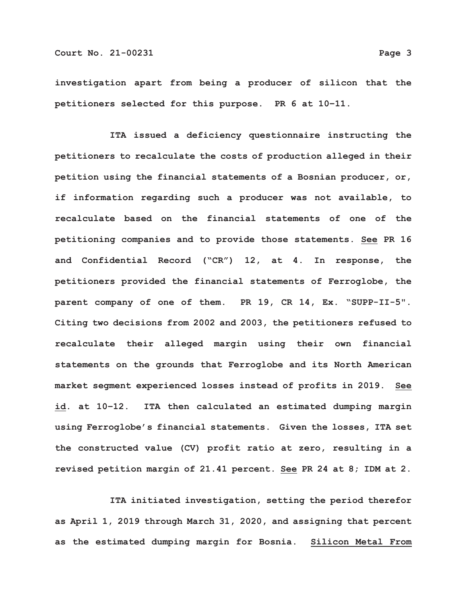**investigation apart from being a producer of silicon that the petitioners selected for this purpose. PR 6 at 10–11.**

**ITA issued a deficiency questionnaire instructing the petitioners to recalculate the costs of production alleged in their petition using the financial statements of a Bosnian producer, or, if information regarding such a producer was not available, to recalculate based on the financial statements of one of the petitioning companies and to provide those statements. See PR 16 and Confidential Record ("CR") 12, at 4. In response, the petitioners provided the financial statements of Ferroglobe, the parent company of one of them. PR 19, CR 14, Ex. "SUPP-II-5". Citing two decisions from 2002 and 2003, the petitioners refused to recalculate their alleged margin using their own financial statements on the grounds that Ferroglobe and its North American market segment experienced losses instead of profits in 2019. See id. at 10–12. ITA then calculated an estimated dumping margin using Ferroglobe's financial statements. Given the losses, ITA set the constructed value (CV) profit ratio at zero, resulting in a revised petition margin of 21.41 percent. See PR 24 at 8; IDM at 2.**

**ITA initiated investigation, setting the period therefor as April 1, 2019 through March 31, 2020, and assigning that percent as the estimated dumping margin for Bosnia. Silicon Metal From**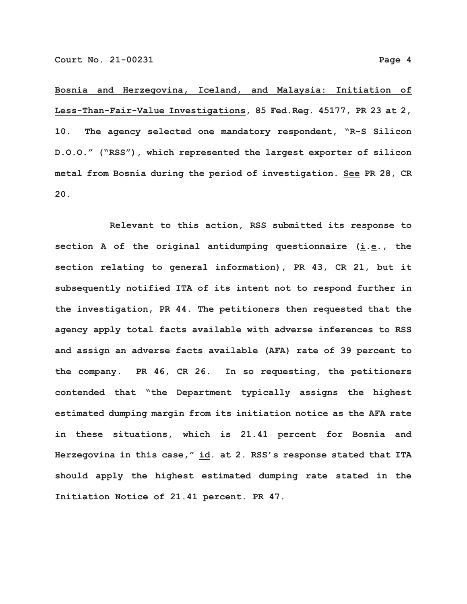**Bosnia and Herzegovina, Iceland, and Malaysia: Initiation of Less-Than-Fair-Value Investigations, 85 Fed.Reg. 45177, PR 23 at 2, 10. The agency selected one mandatory respondent, "R-S Silicon D.O.O." ("RSS"), which represented the largest exporter of silicon metal from Bosnia during the period of investigation. See PR 28, CR 20.**

**Relevant to this action, RSS submitted its response to section A of the original antidumping questionnaire (i.e., the section relating to general information), PR 43, CR 21, but it subsequently notified ITA of its intent not to respond further in the investigation, PR 44. The petitioners then requested that the agency apply total facts available with adverse inferences to RSS and assign an adverse facts available (AFA) rate of 39 percent to the company. PR 46, CR 26. In so requesting, the petitioners contended that "the Department typically assigns the highest estimated dumping margin from its initiation notice as the AFA rate in these situations, which is 21.41 percent for Bosnia and Herzegovina in this case," id. at 2. RSS's response stated that ITA should apply the highest estimated dumping rate stated in the Initiation Notice of 21.41 percent. PR 47.**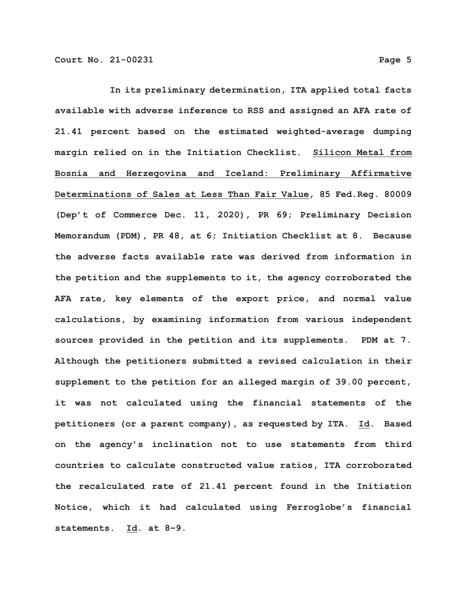**In its preliminary determination, ITA applied total facts available with adverse inference to RSS and assigned an AFA rate of 21.41 percent based on the estimated weighted-average dumping margin relied on in the Initiation Checklist. Silicon Metal from Bosnia and Herzegovina and Iceland: Preliminary Affirmative Determinations of Sales at Less Than Fair Value, 85 Fed.Reg. 80009 (Dep't of Commerce Dec. 11, 2020), PR 69; Preliminary Decision Memorandum (PDM), PR 48, at 6; Initiation Checklist at 8. Because the adverse facts available rate was derived from information in the petition and the supplements to it, the agency corroborated the AFA rate, key elements of the export price, and normal value calculations, by examining information from various independent sources provided in the petition and its supplements. PDM at 7. Although the petitioners submitted a revised calculation in their supplement to the petition for an alleged margin of 39.00 percent, it was not calculated using the financial statements of the petitioners (or a parent company), as requested by ITA. Id. Based on the agency's inclination not to use statements from third countries to calculate constructed value ratios, ITA corroborated the recalculated rate of 21.41 percent found in the Initiation Notice, which it had calculated using Ferroglobe's financial statements. Id. at 8–9.**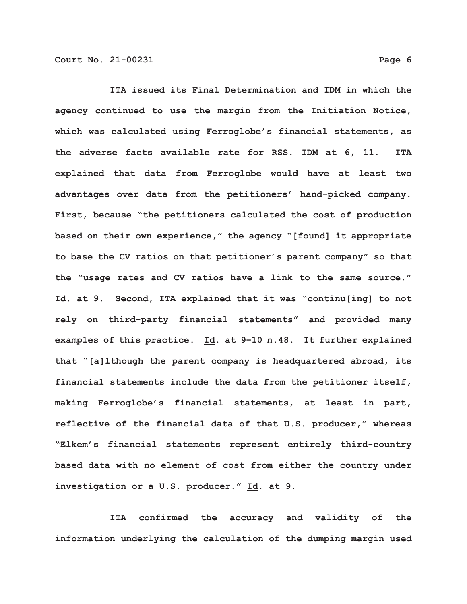**ITA issued its Final Determination and IDM in which the agency continued to use the margin from the Initiation Notice, which was calculated using Ferroglobe's financial statements, as the adverse facts available rate for RSS. IDM at 6, 11. ITA explained that data from Ferroglobe would have at least two advantages over data from the petitioners' hand-picked company. First, because "the petitioners calculated the cost of production based on their own experience," the agency "[found] it appropriate to base the CV ratios on that petitioner's parent company" so that the "usage rates and CV ratios have a link to the same source." Id. at 9. Second, ITA explained that it was "continu[ing] to not rely on third-party financial statements" and provided many examples of this practice. Id. at 9–10 n.48. It further explained that "[a]lthough the parent company is headquartered abroad, its financial statements include the data from the petitioner itself, making Ferroglobe's financial statements, at least in part, reflective of the financial data of that U.S. producer," whereas "Elkem's financial statements represent entirely third-country based data with no element of cost from either the country under investigation or a U.S. producer." Id. at 9.**

**ITA confirmed the accuracy and validity of the information underlying the calculation of the dumping margin used**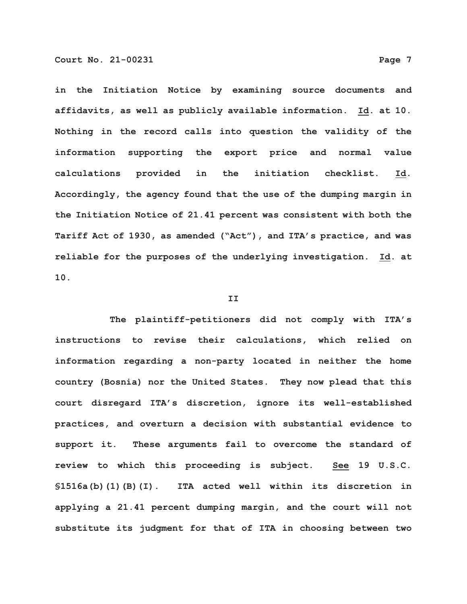**in the Initiation Notice by examining source documents and affidavits, as well as publicly available information. Id. at 10. Nothing in the record calls into question the validity of the information supporting the export price and normal value calculations provided in the initiation checklist. Id. Accordingly, the agency found that the use of the dumping margin in the Initiation Notice of 21.41 percent was consistent with both the Tariff Act of 1930, as amended ("Act"), and ITA's practice, and was reliable for the purposes of the underlying investigation. Id. at 10.**

## **II**

**The plaintiff-petitioners did not comply with ITA's instructions to revise their calculations, which relied on information regarding a non-party located in neither the home country (Bosnia) nor the United States. They now plead that this court disregard ITA's discretion, ignore its well-established practices, and overturn a decision with substantial evidence to support it. These arguments fail to overcome the standard of review to which this proceeding is subject. See 19 U.S.C. §1516a(b)(1)(B)(I). ITA acted well within its discretion in applying a 21.41 percent dumping margin, and the court will not substitute its judgment for that of ITA in choosing between two**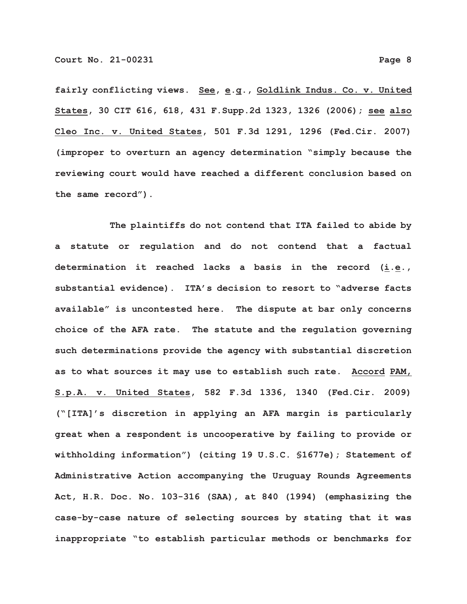**fairly conflicting views. See, e.g., Goldlink Indus. Co. v. United States, 30 CIT 616, 618, 431 F.Supp.2d 1323, 1326 (2006); see also Cleo Inc. v. United States, 501 F.3d 1291, 1296 (Fed.Cir. 2007) (improper to overturn an agency determination "simply because the reviewing court would have reached a different conclusion based on the same record").**

**The plaintiffs do not contend that ITA failed to abide by a statute or regulation and do not contend that a factual determination it reached lacks a basis in the record (i.e., substantial evidence). ITA's decision to resort to "adverse facts available" is uncontested here. The dispute at bar only concerns choice of the AFA rate. The statute and the regulation governing such determinations provide the agency with substantial discretion as to what sources it may use to establish such rate. Accord PAM, S.p.A. v. United States, 582 F.3d 1336, 1340 (Fed.Cir. 2009) ("[ITA]'s discretion in applying an AFA margin is particularly great when a respondent is uncooperative by failing to provide or withholding information") (citing 19 U.S.C. §1677e); Statement of Administrative Action accompanying the Uruguay Rounds Agreements Act, H.R. Doc. No. 103-316 (SAA), at 840 (1994) (emphasizing the case-by-case nature of selecting sources by stating that it was inappropriate "to establish particular methods or benchmarks for**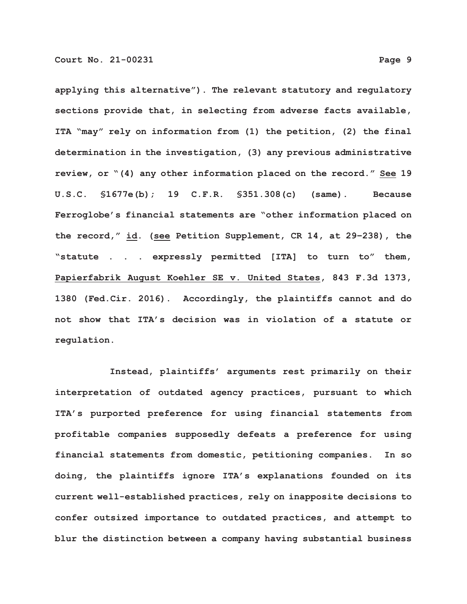**applying this alternative"). The relevant statutory and regulatory sections provide that, in selecting from adverse facts available, ITA "may" rely on information from (1) the petition, (2) the final determination in the investigation, (3) any previous administrative review, or "(4) any other information placed on the record." See 19 U.S.C. §1677e(b); 19 C.F.R. §351.308(c) (same). Because Ferroglobe's financial statements are "other information placed on the record," id. (see Petition Supplement, CR 14, at 29–238), the "statute . . . expressly permitted [ITA] to turn to" them, Papierfabrik August Koehler SE v. United States, 843 F.3d 1373, 1380 (Fed.Cir. 2016). Accordingly, the plaintiffs cannot and do not show that ITA's decision was in violation of a statute or regulation.**

**Instead, plaintiffs' arguments rest primarily on their interpretation of outdated agency practices, pursuant to which ITA's purported preference for using financial statements from profitable companies supposedly defeats a preference for using financial statements from domestic, petitioning companies. In so doing, the plaintiffs ignore ITA's explanations founded on its current well-established practices, rely on inapposite decisions to confer outsized importance to outdated practices, and attempt to blur the distinction between a company having substantial business**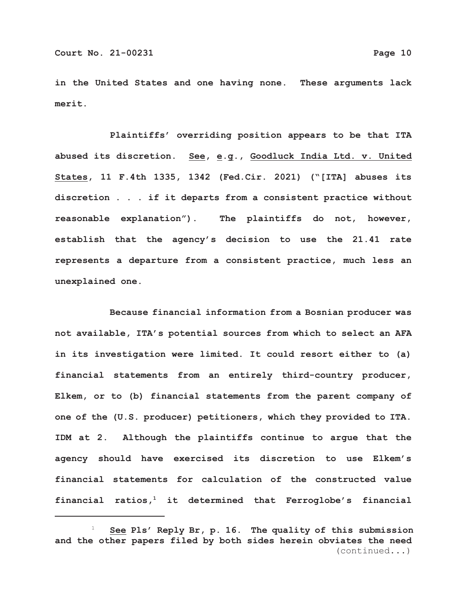**in the United States and one having none. These arguments lack merit.**

**Plaintiffs' overriding position appears to be that ITA abused its discretion. See, e.g., Goodluck India Ltd. v. United States, 11 F.4th 1335, 1342 (Fed.Cir. 2021) ("[ITA] abuses its discretion . . . if it departs from a consistent practice without reasonable explanation"). The plaintiffs do not, however, establish that the agency's decision to use the 21.41 rate represents a departure from a consistent practice, much less an unexplained one.**

**Because financial information from a Bosnian producer was not available, ITA's potential sources from which to select an AFA in its investigation were limited. It could resort either to (a) financial statements from an entirely third-country producer, Elkem, or to (b) financial statements from the parent company of one of the (U.S. producer) petitioners, which they provided to ITA. IDM at 2. Although the plaintiffs continue to argue that the agency should have exercised its discretion to use Elkem's financial statements for calculation of the constructed value financial ratios,1 it determined that Ferroglobe's financial**

 <sup>1</sup> **See Pls' Reply Br, p. 16. The quality of this submission and the other papers filed by both sides herein obviates the need** (continued...)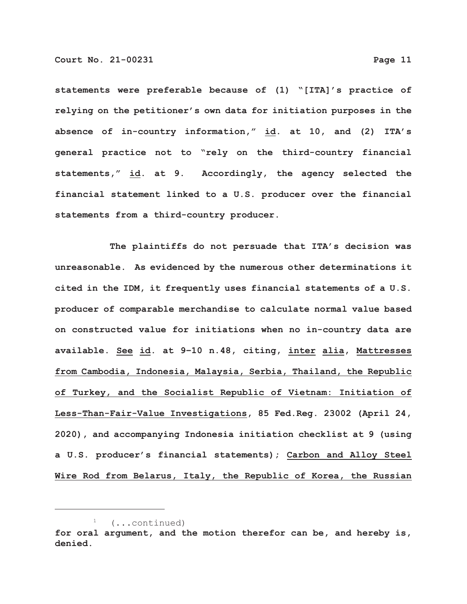**statements were preferable because of (1) "[ITA]'s practice of relying on the petitioner's own data for initiation purposes in the absence of in-country information," id. at 10, and (2) ITA's general practice not to "rely on the third-country financial statements," id. at 9. Accordingly, the agency selected the financial statement linked to a U.S. producer over the financial statements from a third-country producer.**

**The plaintiffs do not persuade that ITA's decision was unreasonable. As evidenced by the numerous other determinations it cited in the IDM, it frequently uses financial statements of a U.S. producer of comparable merchandise to calculate normal value based on constructed value for initiations when no in-country data are available. See id. at 9–10 n.48, citing, inter alia, Mattresses from Cambodia, Indonesia, Malaysia, Serbia, Thailand, the Republic of Turkey, and the Socialist Republic of Vietnam: Initiation of Less-Than-Fair-Value Investigations, 85 Fed.Reg. 23002 (April 24, 2020), and accompanying Indonesia initiation checklist at 9 (using a U.S. producer's financial statements); Carbon and Alloy Steel Wire Rod from Belarus, Italy, the Republic of Korea, the Russian**

 $1$  (...continued)

**for oral argument, and the motion therefor can be, and hereby is, denied.**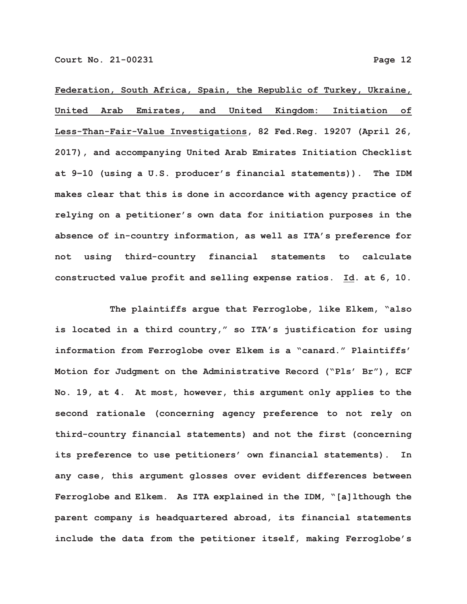**Federation, South Africa, Spain, the Republic of Turkey, Ukraine, United Arab Emirates, and United Kingdom: Initiation of Less-Than-Fair-Value Investigations, 82 Fed.Reg. 19207 (April 26, 2017), and accompanying United Arab Emirates Initiation Checklist at 9–10 (using a U.S. producer's financial statements)). The IDM makes clear that this is done in accordance with agency practice of relying on a petitioner's own data for initiation purposes in the absence of in-country information, as well as ITA's preference for not using third-country financial statements to calculate constructed value profit and selling expense ratios. Id. at 6, 10.**

**The plaintiffs argue that Ferroglobe, like Elkem, "also is located in a third country," so ITA's justification for using information from Ferroglobe over Elkem is a "canard." Plaintiffs' Motion for Judgment on the Administrative Record ("Pls' Br"), ECF No. 19, at 4. At most, however, this argument only applies to the second rationale (concerning agency preference to not rely on third-country financial statements) and not the first (concerning its preference to use petitioners' own financial statements). In any case, this argument glosses over evident differences between Ferroglobe and Elkem. As ITA explained in the IDM, "[a]lthough the parent company is headquartered abroad, its financial statements include the data from the petitioner itself, making Ferroglobe's**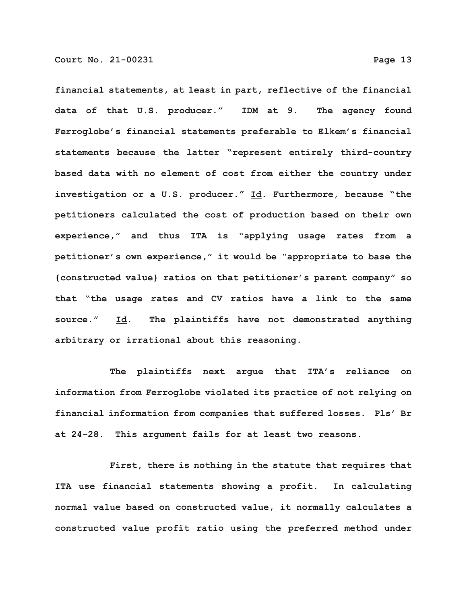**financial statements, at least in part, reflective of the financial data of that U.S. producer." IDM at 9. The agency found Ferroglobe's financial statements preferable to Elkem's financial statements because the latter "represent entirely third-country based data with no element of cost from either the country under investigation or a U.S. producer." Id. Furthermore, because "the petitioners calculated the cost of production based on their own experience," and thus ITA is "applying usage rates from a petitioner's own experience," it would be "appropriate to base the {constructed value} ratios on that petitioner's parent company" so that "the usage rates and CV ratios have a link to the same source." Id. The plaintiffs have not demonstrated anything arbitrary or irrational about this reasoning.**

**The plaintiffs next argue that ITA's reliance on information from Ferroglobe violated its practice of not relying on financial information from companies that suffered losses. Pls' Br at 24–28. This argument fails for at least two reasons.**

**First, there is nothing in the statute that requires that ITA use financial statements showing a profit. In calculating normal value based on constructed value, it normally calculates a constructed value profit ratio using the preferred method under**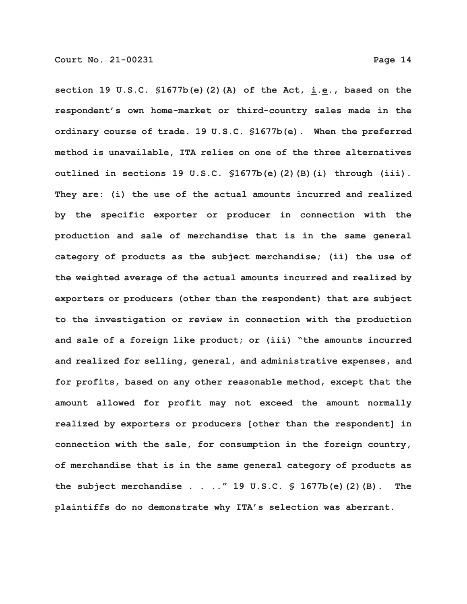**section 19 U.S.C. §1677b(e)(2)(A) of the Act, i.e., based on the respondent's own home-market or third-country sales made in the ordinary course of trade. 19 U.S.C. §1677b(e). When the preferred method is unavailable, ITA relies on one of the three alternatives outlined in sections 19 U.S.C. §1677b(e)(2)(B)(i) through (iii). They are: (i) the use of the actual amounts incurred and realized by the specific exporter or producer in connection with the production and sale of merchandise that is in the same general category of products as the subject merchandise; (ii) the use of the weighted average of the actual amounts incurred and realized by exporters or producers (other than the respondent) that are subject to the investigation or review in connection with the production and sale of a foreign like product; or (iii) "the amounts incurred and realized for selling, general, and administrative expenses, and for profits, based on any other reasonable method, except that the amount allowed for profit may not exceed the amount normally realized by exporters or producers [other than the respondent] in connection with the sale, for consumption in the foreign country, of merchandise that is in the same general category of products as the subject merchandise . . .." 19 U.S.C. § 1677b(e)(2)(B). The plaintiffs do no demonstrate why ITA's selection was aberrant.**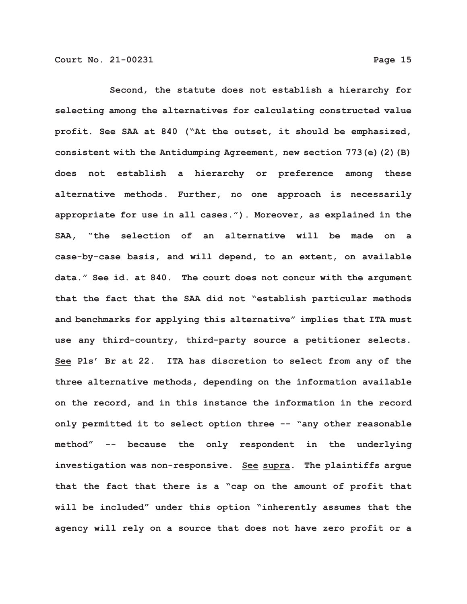**Second, the statute does not establish a hierarchy for selecting among the alternatives for calculating constructed value profit. See SAA at 840 ("At the outset, it should be emphasized, consistent with the Antidumping Agreement, new section 773(e)(2)(B) does not establish a hierarchy or preference among these alternative methods. Further, no one approach is necessarily appropriate for use in all cases."). Moreover, as explained in the SAA, "the selection of an alternative will be made on a case-by-case basis, and will depend, to an extent, on available data." See id. at 840. The court does not concur with the argument that the fact that the SAA did not "establish particular methods and benchmarks for applying this alternative" implies that ITA must use any third-country, third-party source a petitioner selects. See Pls' Br at 22. ITA has discretion to select from any of the three alternative methods, depending on the information available on the record, and in this instance the information in the record only permitted it to select option three -- "any other reasonable method" -- because the only respondent in the underlying investigation was non-responsive. See supra. The plaintiffs argue that the fact that there is a "cap on the amount of profit that will be included" under this option "inherently assumes that the agency will rely on a source that does not have zero profit or a**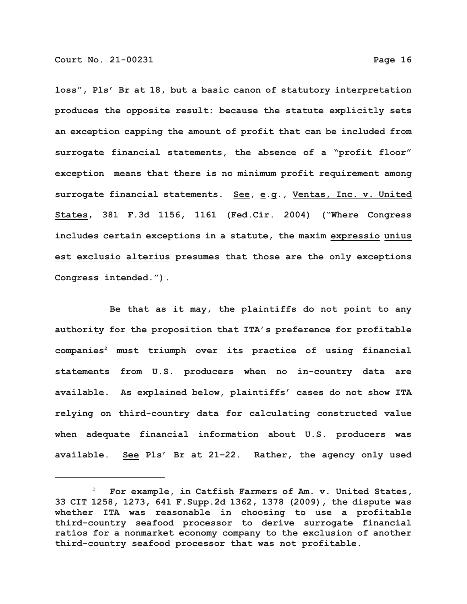**loss", Pls' Br at 18, but a basic canon of statutory interpretation produces the opposite result: because the statute explicitly sets an exception capping the amount of profit that can be included from surrogate financial statements, the absence of a "profit floor" exception means that there is no minimum profit requirement among surrogate financial statements. See, e.g., Ventas, Inc. v. United States, 381 F.3d 1156, 1161 (Fed.Cir. 2004) ("Where Congress includes certain exceptions in a statute, the maxim expressio unius est exclusio alterius presumes that those are the only exceptions Congress intended.").**

**Be that as it may, the plaintiffs do not point to any authority for the proposition that ITA's preference for profitable companies2 must triumph over its practice of using financial statements from U.S. producers when no in-country data are available. As explained below, plaintiffs' cases do not show ITA relying on third-country data for calculating constructed value when adequate financial information about U.S. producers was available. See Pls' Br at 21–22. Rather, the agency only used**

 <sup>2</sup> **For example, in Catfish Farmers of Am. v. United States, 33 CIT 1258, 1273, 641 F.Supp.2d 1362, 1378 (2009), the dispute was whether ITA was reasonable in choosing to use a profitable third-country seafood processor to derive surrogate financial ratios for a nonmarket economy company to the exclusion of another third-country seafood processor that was not profitable.**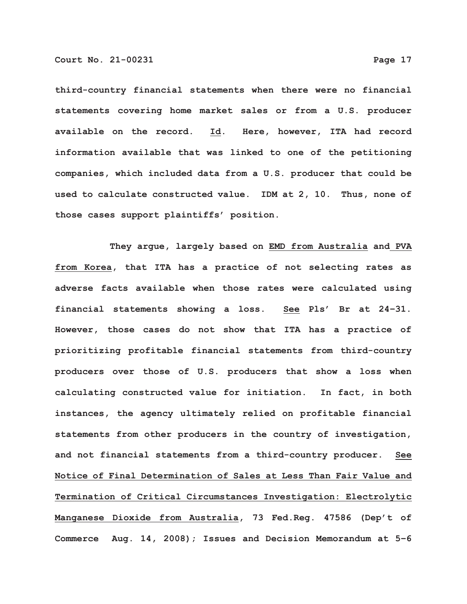**third-country financial statements when there were no financial statements covering home market sales or from a U.S. producer available on the record. Id. Here, however, ITA had record information available that was linked to one of the petitioning companies, which included data from a U.S. producer that could be used to calculate constructed value. IDM at 2, 10. Thus, none of those cases support plaintiffs' position.**

**They argue, largely based on EMD from Australia and PVA from Korea, that ITA has a practice of not selecting rates as adverse facts available when those rates were calculated using financial statements showing a loss. See Pls' Br at 24–31. However, those cases do not show that ITA has a practice of prioritizing profitable financial statements from third-country producers over those of U.S. producers that show a loss when calculating constructed value for initiation. In fact, in both instances, the agency ultimately relied on profitable financial statements from other producers in the country of investigation, and not financial statements from a third-country producer. See Notice of Final Determination of Sales at Less Than Fair Value and Termination of Critical Circumstances Investigation: Electrolytic Manganese Dioxide from Australia, 73 Fed.Reg. 47586 (Dep't of Commerce Aug. 14, 2008); Issues and Decision Memorandum at 5–6**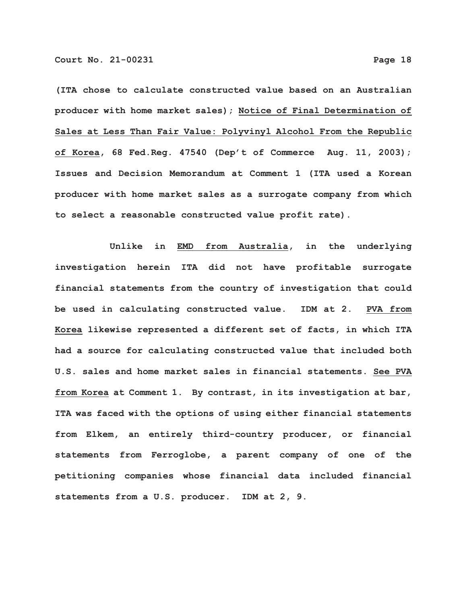**(ITA chose to calculate constructed value based on an Australian producer with home market sales); Notice of Final Determination of Sales at Less Than Fair Value: Polyvinyl Alcohol From the Republic of Korea, 68 Fed.Reg. 47540 (Dep't of Commerce Aug. 11, 2003); Issues and Decision Memorandum at Comment 1 (ITA used a Korean producer with home market sales as a surrogate company from which to select a reasonable constructed value profit rate).**

**Unlike in EMD from Australia, in the underlying investigation herein ITA did not have profitable surrogate financial statements from the country of investigation that could be used in calculating constructed value. IDM at 2. PVA from Korea likewise represented a different set of facts, in which ITA had a source for calculating constructed value that included both U.S. sales and home market sales in financial statements. See PVA from Korea at Comment 1. By contrast, in its investigation at bar, ITA was faced with the options of using either financial statements from Elkem, an entirely third-country producer, or financial statements from Ferroglobe, a parent company of one of the petitioning companies whose financial data included financial statements from a U.S. producer. IDM at 2, 9.**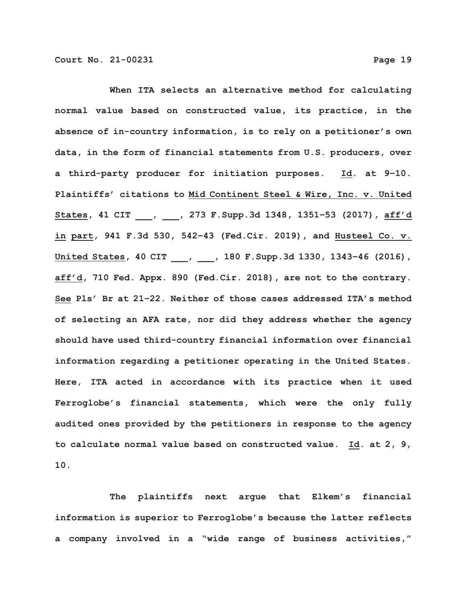**When ITA selects an alternative method for calculating normal value based on constructed value, its practice, in the absence of in-country information, is to rely on a petitioner's own data, in the form of financial statements from U.S. producers, over a third-party producer for initiation purposes. Id. at 9–10. Plaintiffs' citations to Mid Continent Steel & Wire, Inc. v. United States, 41 CIT \_\_\_, \_\_\_, 273 F.Supp.3d 1348, 1351–53 (2017), aff'd in part, 941 F.3d 530, 542–43 (Fed.Cir. 2019), and Husteel Co. v. United States, 40 CIT \_\_\_, \_\_\_, 180 F.Supp.3d 1330, 1343–46 (2016), aff'd, 710 Fed. Appx. 890 (Fed.Cir. 2018), are not to the contrary. See Pls' Br at 21–22. Neither of those cases addressed ITA's method of selecting an AFA rate, nor did they address whether the agency should have used third-country financial information over financial information regarding a petitioner operating in the United States. Here, ITA acted in accordance with its practice when it used Ferroglobe's financial statements, which were the only fully audited ones provided by the petitioners in response to the agency to calculate normal value based on constructed value. Id. at 2, 9, 10.**

**The plaintiffs next argue that Elkem's financial information is superior to Ferroglobe's because the latter reflects a company involved in a "wide range of business activities,"**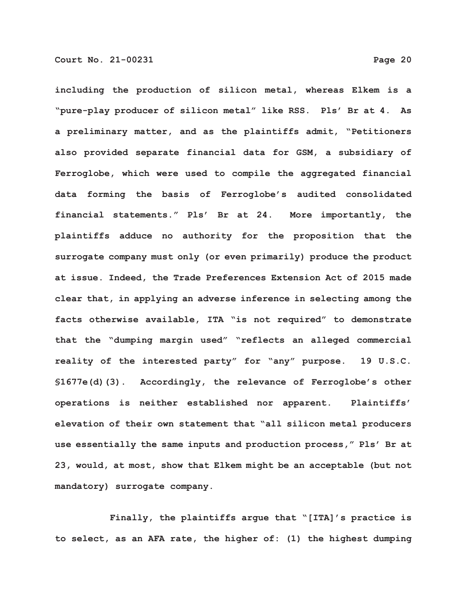**including the production of silicon metal, whereas Elkem is a "pure-play producer of silicon metal" like RSS. Pls' Br at 4. As a preliminary matter, and as the plaintiffs admit, "Petitioners also provided separate financial data for GSM, a subsidiary of Ferroglobe, which were used to compile the aggregated financial data forming the basis of Ferroglobe's audited consolidated financial statements." Pls' Br at 24. More importantly, the plaintiffs adduce no authority for the proposition that the surrogate company must only (or even primarily) produce the product at issue. Indeed, the Trade Preferences Extension Act of 2015 made clear that, in applying an adverse inference in selecting among the facts otherwise available, ITA "is not required" to demonstrate that the "dumping margin used" "reflects an alleged commercial reality of the interested party" for "any" purpose. 19 U.S.C. §1677e(d)(3). Accordingly, the relevance of Ferroglobe's other operations is neither established nor apparent. Plaintiffs' elevation of their own statement that "all silicon metal producers use essentially the same inputs and production process," Pls' Br at 23, would, at most, show that Elkem might be an acceptable (but not mandatory) surrogate company.**

**Finally, the plaintiffs argue that "[ITA]'s practice is to select, as an AFA rate, the higher of: (1) the highest dumping**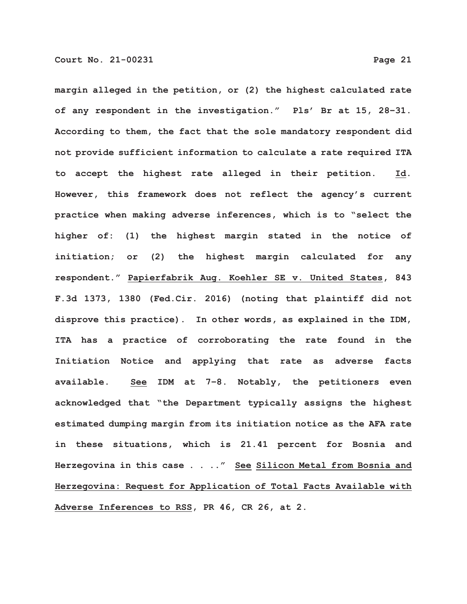**margin alleged in the petition, or (2) the highest calculated rate of any respondent in the investigation." Pls' Br at 15, 28–31. According to them, the fact that the sole mandatory respondent did not provide sufficient information to calculate a rate required ITA to accept the highest rate alleged in their petition. Id. However, this framework does not reflect the agency's current practice when making adverse inferences, which is to "select the higher of: (1) the highest margin stated in the notice of initiation; or (2) the highest margin calculated for any respondent." Papierfabrik Aug. Koehler SE v. United States, 843 F.3d 1373, 1380 (Fed.Cir. 2016) (noting that plaintiff did not disprove this practice). In other words, as explained in the IDM, ITA has a practice of corroborating the rate found in the Initiation Notice and applying that rate as adverse facts available. See IDM at 7–8. Notably, the petitioners even acknowledged that "the Department typically assigns the highest estimated dumping margin from its initiation notice as the AFA rate in these situations, which is 21.41 percent for Bosnia and Herzegovina in this case . . .." See Silicon Metal from Bosnia and Herzegovina: Request for Application of Total Facts Available with Adverse Inferences to RSS, PR 46, CR 26, at 2.**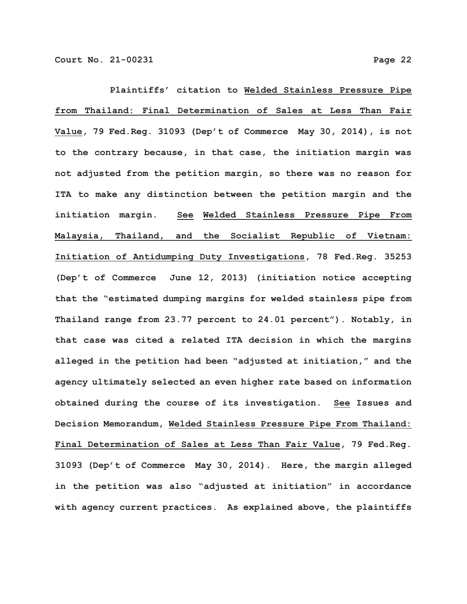**Plaintiffs' citation to Welded Stainless Pressure Pipe from Thailand: Final Determination of Sales at Less Than Fair Value, 79 Fed.Reg. 31093 (Dep't of Commerce May 30, 2014), is not to the contrary because, in that case, the initiation margin was not adjusted from the petition margin, so there was no reason for ITA to make any distinction between the petition margin and the initiation margin. See Welded Stainless Pressure Pipe From Malaysia, Thailand, and the Socialist Republic of Vietnam: Initiation of Antidumping Duty Investigations, 78 Fed.Reg. 35253 (Dep't of Commerce June 12, 2013) (initiation notice accepting that the "estimated dumping margins for welded stainless pipe from Thailand range from 23.77 percent to 24.01 percent"). Notably, in that case was cited a related ITA decision in which the margins alleged in the petition had been "adjusted at initiation," and the agency ultimately selected an even higher rate based on information obtained during the course of its investigation. See Issues and Decision Memorandum, Welded Stainless Pressure Pipe From Thailand: Final Determination of Sales at Less Than Fair Value, 79 Fed.Reg. 31093 (Dep't of Commerce May 30, 2014). Here, the margin alleged in the petition was also "adjusted at initiation" in accordance with agency current practices. As explained above, the plaintiffs**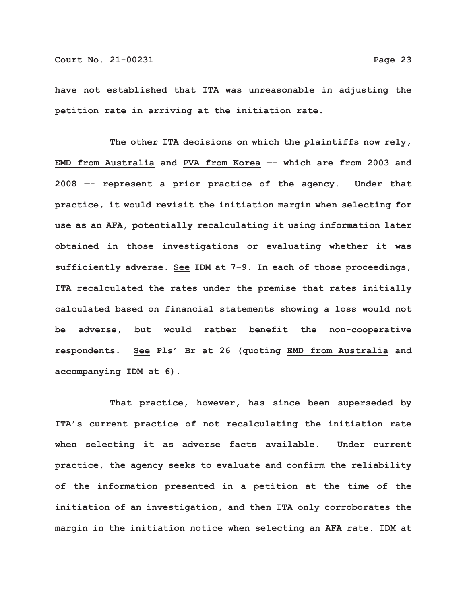**have not established that ITA was unreasonable in adjusting the petition rate in arriving at the initiation rate.**

**The other ITA decisions on which the plaintiffs now rely, EMD from Australia and PVA from Korea —- which are from 2003 and 2008 —- represent a prior practice of the agency. Under that practice, it would revisit the initiation margin when selecting for use as an AFA, potentially recalculating it using information later obtained in those investigations or evaluating whether it was sufficiently adverse. See IDM at 7–9. In each of those proceedings, ITA recalculated the rates under the premise that rates initially calculated based on financial statements showing a loss would not be adverse, but would rather benefit the non-cooperative respondents. See Pls' Br at 26 (quoting EMD from Australia and accompanying IDM at 6).**

**That practice, however, has since been superseded by ITA's current practice of not recalculating the initiation rate when selecting it as adverse facts available. Under current practice, the agency seeks to evaluate and confirm the reliability of the information presented in a petition at the time of the initiation of an investigation, and then ITA only corroborates the margin in the initiation notice when selecting an AFA rate. IDM at**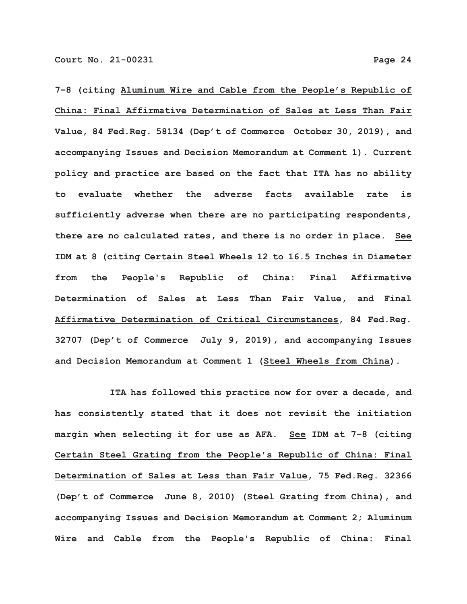**7–8 (citing Aluminum Wire and Cable from the People's Republic of China: Final Affirmative Determination of Sales at Less Than Fair Value, 84 Fed.Reg. 58134 (Dep't of Commerce October 30, 2019), and accompanying Issues and Decision Memorandum at Comment 1). Current policy and practice are based on the fact that ITA has no ability to evaluate whether the adverse facts available rate is sufficiently adverse when there are no participating respondents, there are no calculated rates, and there is no order in place. See IDM at 8 (citing Certain Steel Wheels 12 to 16.5 Inches in Diameter from the People's Republic of China: Final Affirmative Determination of Sales at Less Than Fair Value, and Final Affirmative Determination of Critical Circumstances, 84 Fed.Reg. 32707 (Dep't of Commerce July 9, 2019), and accompanying Issues and Decision Memorandum at Comment 1 (Steel Wheels from China).**

**ITA has followed this practice now for over a decade, and has consistently stated that it does not revisit the initiation margin when selecting it for use as AFA. See IDM at 7–8 (citing Certain Steel Grating from the People's Republic of China: Final Determination of Sales at Less than Fair Value, 75 Fed.Reg. 32366 (Dep't of Commerce June 8, 2010) (Steel Grating from China), and accompanying Issues and Decision Memorandum at Comment 2; Aluminum Wire and Cable from the People's Republic of China: Final**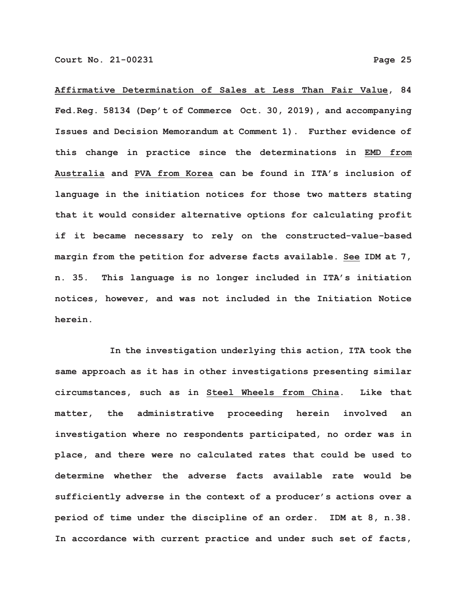**Affirmative Determination of Sales at Less Than Fair Value, 84 Fed.Reg. 58134 (Dep't of Commerce Oct. 30, 2019), and accompanying Issues and Decision Memorandum at Comment 1). Further evidence of this change in practice since the determinations in EMD from Australia and PVA from Korea can be found in ITA's inclusion of language in the initiation notices for those two matters stating that it would consider alternative options for calculating profit if it became necessary to rely on the constructed-value-based margin from the petition for adverse facts available. See IDM at 7, n. 35. This language is no longer included in ITA's initiation notices, however, and was not included in the Initiation Notice herein.**

**In the investigation underlying this action, ITA took the same approach as it has in other investigations presenting similar circumstances, such as in Steel Wheels from China. Like that matter, the administrative proceeding herein involved an investigation where no respondents participated, no order was in place, and there were no calculated rates that could be used to determine whether the adverse facts available rate would be sufficiently adverse in the context of a producer's actions over a period of time under the discipline of an order. IDM at 8, n.38. In accordance with current practice and under such set of facts,**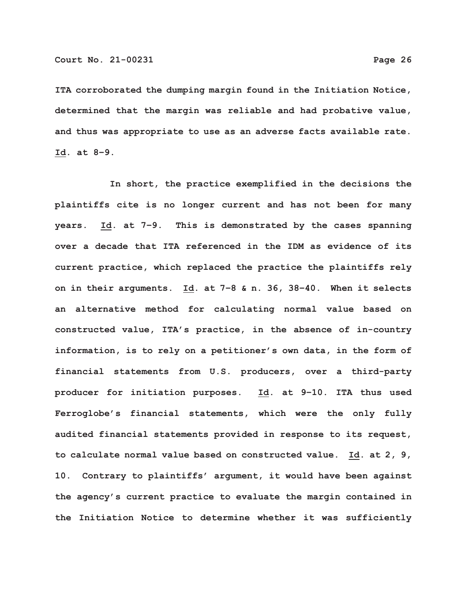**ITA corroborated the dumping margin found in the Initiation Notice, determined that the margin was reliable and had probative value, and thus was appropriate to use as an adverse facts available rate. Id. at 8–9.**

**In short, the practice exemplified in the decisions the plaintiffs cite is no longer current and has not been for many years. Id. at 7–9. This is demonstrated by the cases spanning over a decade that ITA referenced in the IDM as evidence of its current practice, which replaced the practice the plaintiffs rely on in their arguments. Id. at 7–8 & n. 36, 38–40. When it selects an alternative method for calculating normal value based on constructed value, ITA's practice, in the absence of in-country information, is to rely on a petitioner's own data, in the form of financial statements from U.S. producers, over a third-party producer for initiation purposes. Id. at 9–10. ITA thus used Ferroglobe's financial statements, which were the only fully audited financial statements provided in response to its request, to calculate normal value based on constructed value. Id. at 2, 9, 10. Contrary to plaintiffs' argument, it would have been against the agency's current practice to evaluate the margin contained in the Initiation Notice to determine whether it was sufficiently**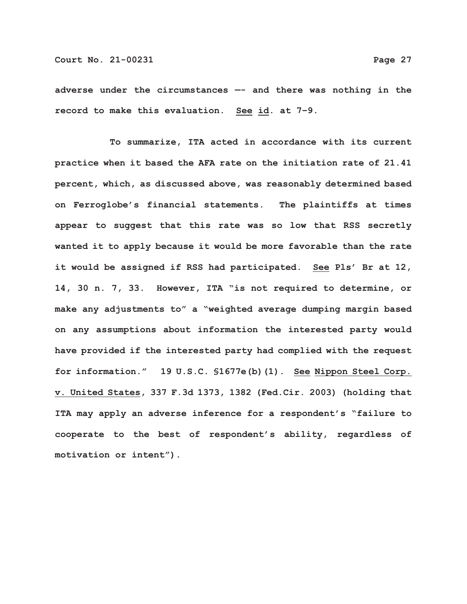**adverse under the circumstances —- and there was nothing in the record to make this evaluation. See id. at 7–9.**

**To summarize, ITA acted in accordance with its current practice when it based the AFA rate on the initiation rate of 21.41 percent, which, as discussed above, was reasonably determined based on Ferroglobe's financial statements. The plaintiffs at times appear to suggest that this rate was so low that RSS secretly wanted it to apply because it would be more favorable than the rate it would be assigned if RSS had participated. See Pls' Br at 12, 14, 30 n. 7, 33. However, ITA "is not required to determine, or make any adjustments to" a "weighted average dumping margin based on any assumptions about information the interested party would have provided if the interested party had complied with the request for information." 19 U.S.C. §1677e(b)(1). See Nippon Steel Corp. v. United States, 337 F.3d 1373, 1382 (Fed.Cir. 2003) (holding that ITA may apply an adverse inference for a respondent's "failure to cooperate to the best of respondent's ability, regardless of motivation or intent").**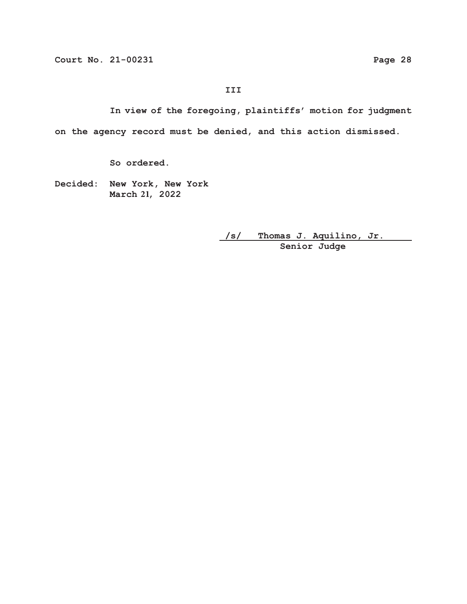# **III**

**In view of the foregoing, plaintiffs' motion for judgment on the agency record must be denied, and this action dismissed.**

**So ordered.**

**Decided: New York, New York** March 21, 2022

> **/s/ Thomas J. Aquilino, Jr. Senior Judge**